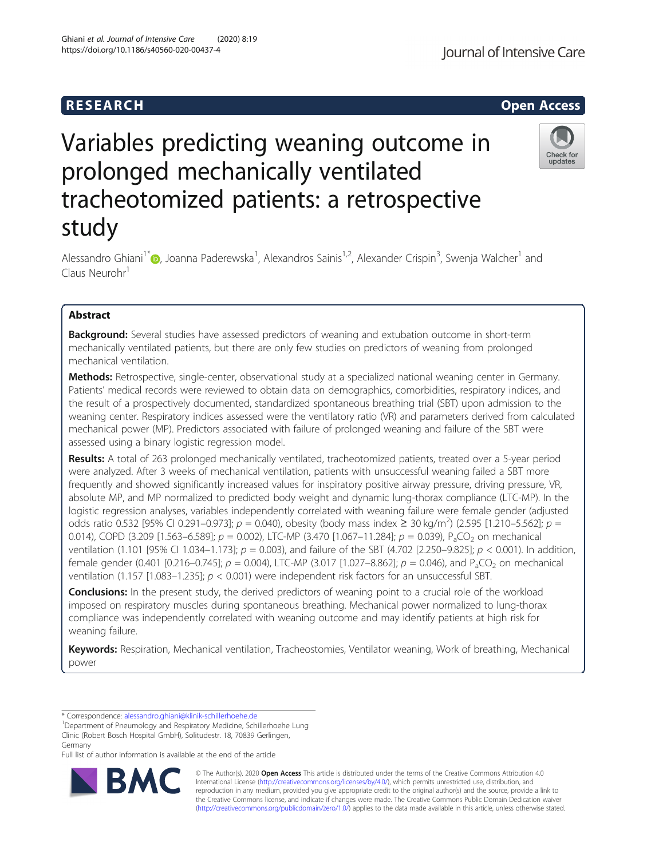# **RESEARCH CHEAR CHEAR CHEAR CHEAR CHEAR CHEAR CHEAR CHEAR CHEAR CHEAR CHEAR CHEAR CHEAR CHEAR CHEAR CHEAR CHEAR**

# Variables predicting weaning outcome in prolonged mechanically ventilated tracheotomized patients: a retrospective study

Alessandro Ghiani<sup>1\*</sup>�, Joanna Paderewska<sup>1</sup>, Alexandros Sainis<sup>1,2</sup>, Alexander Crispin<sup>3</sup>, Swenja Walcher<sup>1</sup> and Claus Neurohr<sup>1</sup>

# Abstract

**Background:** Several studies have assessed predictors of weaning and extubation outcome in short-term mechanically ventilated patients, but there are only few studies on predictors of weaning from prolonged mechanical ventilation.

Methods: Retrospective, single-center, observational study at a specialized national weaning center in Germany. Patients' medical records were reviewed to obtain data on demographics, comorbidities, respiratory indices, and the result of a prospectively documented, standardized spontaneous breathing trial (SBT) upon admission to the weaning center. Respiratory indices assessed were the ventilatory ratio (VR) and parameters derived from calculated mechanical power (MP). Predictors associated with failure of prolonged weaning and failure of the SBT were assessed using a binary logistic regression model.

Results: A total of 263 prolonged mechanically ventilated, tracheotomized patients, treated over a 5-year period were analyzed. After 3 weeks of mechanical ventilation, patients with unsuccessful weaning failed a SBT more frequently and showed significantly increased values for inspiratory positive airway pressure, driving pressure, VR, absolute MP, and MP normalized to predicted body weight and dynamic lung-thorax compliance (LTC-MP). In the logistic regression analyses, variables independently correlated with weaning failure were female gender (adjusted odds ratio 0.532 [95% CI 0.291–0.973];  $p = 0.040$ , obesity (body mass index ≥ 30 kg/m<sup>2</sup>) (2.595 [1.210–5.562];  $p =$ 0.014), COPD (3.209 [1.563–6.589];  $p = 0.002$ ), LTC-MP (3.470 [1.067–11.284];  $p = 0.039$ ), P<sub>a</sub>CO<sub>2</sub> on mechanical ventilation (1.101 [95% CI 1.034–1.173];  $p = 0.003$ ), and failure of the SBT (4.702 [2.250–9.825];  $p < 0.001$ ). In addition, female gender (0.401 [0.216–0.745];  $p = 0.004$ ), LTC-MP (3.017 [1.027–8.862];  $p = 0.046$ ), and P<sub>a</sub>CO<sub>2</sub> on mechanical ventilation (1.157 [1.083–1.235]; p < 0.001) were independent risk factors for an unsuccessful SBT.

**Conclusions:** In the present study, the derived predictors of weaning point to a crucial role of the workload imposed on respiratory muscles during spontaneous breathing. Mechanical power normalized to lung-thorax compliance was independently correlated with weaning outcome and may identify patients at high risk for weaning failure.

Keywords: Respiration, Mechanical ventilation, Tracheostomies, Ventilator weaning, Work of breathing, Mechanical power

\* Correspondence: [alessandro.ghiani@klinik-schillerhoehe.de](mailto:alessandro.ghiani@klinik-schillerhoehe.de) <sup>1</sup>

<sup>1</sup>Department of Pneumology and Respiratory Medicine, Schillerhoehe Lung Clinic (Robert Bosch Hospital GmbH), Solitudestr. 18, 70839 Gerlingen, Germany

Full list of author information is available at the end of the article

© The Author(s). 2020 **Open Access** This article is distributed under the terms of the Creative Commons Attribution 4.0 International License [\(http://creativecommons.org/licenses/by/4.0/](http://creativecommons.org/licenses/by/4.0/)), which permits unrestricted use, distribution, and reproduction in any medium, provided you give appropriate credit to the original author(s) and the source, provide a link to the Creative Commons license, and indicate if changes were made. The Creative Commons Public Domain Dedication waiver [\(http://creativecommons.org/publicdomain/zero/1.0/](http://creativecommons.org/publicdomain/zero/1.0/)) applies to the data made available in this article, unless otherwise stated.

RЛ





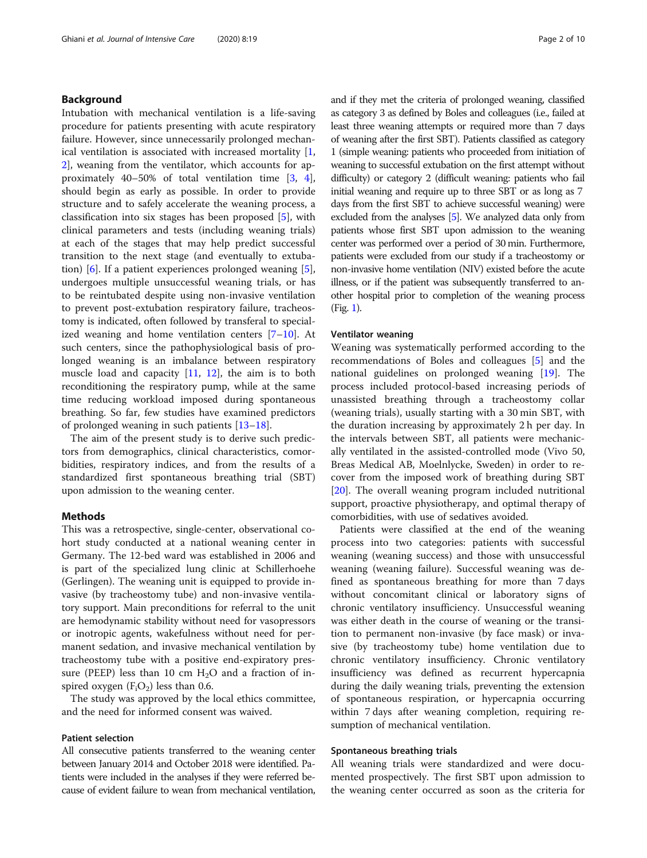# Background

Intubation with mechanical ventilation is a life-saving procedure for patients presenting with acute respiratory failure. However, since unnecessarily prolonged mechanical ventilation is associated with increased mortality [\[1](#page-9-0), [2\]](#page-9-0), weaning from the ventilator, which accounts for approximately 40–50% of total ventilation time [[3,](#page-9-0) [4](#page-9-0)], should begin as early as possible. In order to provide structure and to safely accelerate the weaning process, a classification into six stages has been proposed [[5\]](#page-9-0), with clinical parameters and tests (including weaning trials) at each of the stages that may help predict successful transition to the next stage (and eventually to extubation) [[6](#page-9-0)]. If a patient experiences prolonged weaning [\[5](#page-9-0)], undergoes multiple unsuccessful weaning trials, or has to be reintubated despite using non-invasive ventilation to prevent post-extubation respiratory failure, tracheostomy is indicated, often followed by transferal to specialized weaning and home ventilation centers  $[7-10]$  $[7-10]$  $[7-10]$  $[7-10]$  $[7-10]$ . At such centers, since the pathophysiological basis of prolonged weaning is an imbalance between respiratory muscle load and capacity  $[11, 12]$  $[11, 12]$  $[11, 12]$ , the aim is to both reconditioning the respiratory pump, while at the same time reducing workload imposed during spontaneous breathing. So far, few studies have examined predictors of prolonged weaning in such patients [[13](#page-9-0)–[18](#page-9-0)].

The aim of the present study is to derive such predictors from demographics, clinical characteristics, comorbidities, respiratory indices, and from the results of a standardized first spontaneous breathing trial (SBT) upon admission to the weaning center.

# Methods

This was a retrospective, single-center, observational cohort study conducted at a national weaning center in Germany. The 12-bed ward was established in 2006 and is part of the specialized lung clinic at Schillerhoehe (Gerlingen). The weaning unit is equipped to provide invasive (by tracheostomy tube) and non-invasive ventilatory support. Main preconditions for referral to the unit are hemodynamic stability without need for vasopressors or inotropic agents, wakefulness without need for permanent sedation, and invasive mechanical ventilation by tracheostomy tube with a positive end-expiratory pressure (PEEP) less than 10 cm  $H_2O$  and a fraction of inspired oxygen  $(F_iO_2)$  less than 0.6.

The study was approved by the local ethics committee, and the need for informed consent was waived.

# Patient selection

All consecutive patients transferred to the weaning center between January 2014 and October 2018 were identified. Patients were included in the analyses if they were referred because of evident failure to wean from mechanical ventilation, and if they met the criteria of prolonged weaning, classified as category 3 as defined by Boles and colleagues (i.e., failed at least three weaning attempts or required more than 7 days of weaning after the first SBT). Patients classified as category 1 (simple weaning: patients who proceeded from initiation of weaning to successful extubation on the first attempt without difficulty) or category 2 (difficult weaning: patients who fail initial weaning and require up to three SBT or as long as 7 days from the first SBT to achieve successful weaning) were excluded from the analyses [[5](#page-9-0)]. We analyzed data only from patients whose first SBT upon admission to the weaning center was performed over a period of 30 min. Furthermore, patients were excluded from our study if a tracheostomy or non-invasive home ventilation (NIV) existed before the acute illness, or if the patient was subsequently transferred to another hospital prior to completion of the weaning process (Fig. [1](#page-2-0)).

# Ventilator weaning

Weaning was systematically performed according to the recommendations of Boles and colleagues [[5](#page-9-0)] and the national guidelines on prolonged weaning [[19](#page-9-0)]. The process included protocol-based increasing periods of unassisted breathing through a tracheostomy collar (weaning trials), usually starting with a 30 min SBT, with the duration increasing by approximately 2 h per day. In the intervals between SBT, all patients were mechanically ventilated in the assisted-controlled mode (Vivo 50, Breas Medical AB, Moelnlycke, Sweden) in order to recover from the imposed work of breathing during SBT [[20\]](#page-9-0). The overall weaning program included nutritional support, proactive physiotherapy, and optimal therapy of comorbidities, with use of sedatives avoided.

Patients were classified at the end of the weaning process into two categories: patients with successful weaning (weaning success) and those with unsuccessful weaning (weaning failure). Successful weaning was defined as spontaneous breathing for more than 7 days without concomitant clinical or laboratory signs of chronic ventilatory insufficiency. Unsuccessful weaning was either death in the course of weaning or the transition to permanent non-invasive (by face mask) or invasive (by tracheostomy tube) home ventilation due to chronic ventilatory insufficiency. Chronic ventilatory insufficiency was defined as recurrent hypercapnia during the daily weaning trials, preventing the extension of spontaneous respiration, or hypercapnia occurring within 7 days after weaning completion, requiring resumption of mechanical ventilation.

#### Spontaneous breathing trials

All weaning trials were standardized and were documented prospectively. The first SBT upon admission to the weaning center occurred as soon as the criteria for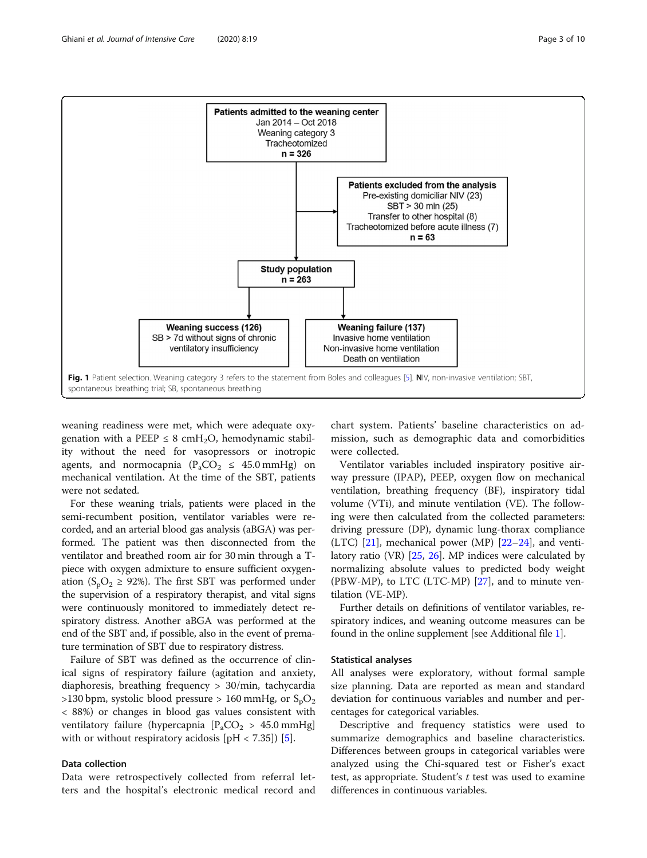

<span id="page-2-0"></span>

weaning readiness were met, which were adequate oxygenation with a PEEP  $\leq$  8 cmH<sub>2</sub>O, hemodynamic stability without the need for vasopressors or inotropic agents, and normocapnia ( $P_aCO_2 \leq 45.0 \text{ mmHg}$ ) on mechanical ventilation. At the time of the SBT, patients were not sedated.

For these weaning trials, patients were placed in the semi-recumbent position, ventilator variables were recorded, and an arterial blood gas analysis (aBGA) was performed. The patient was then disconnected from the ventilator and breathed room air for 30 min through a Tpiece with oxygen admixture to ensure sufficient oxygenation ( $S_pO_2 \geq 92\%$ ). The first SBT was performed under the supervision of a respiratory therapist, and vital signs were continuously monitored to immediately detect respiratory distress. Another aBGA was performed at the end of the SBT and, if possible, also in the event of premature termination of SBT due to respiratory distress.

Failure of SBT was defined as the occurrence of clinical signs of respiratory failure (agitation and anxiety, diaphoresis, breathing frequency > 30/min, tachycardia >130 bpm, systolic blood pressure > 160 mmHg, or  $S_pO_2$ < 88%) or changes in blood gas values consistent with ventilatory failure (hypercapnia  $[P_aCO_2 > 45.0 \text{ mmHg}]$ with or without respiratory acidosis  $[pH < 7.35]$  $[pH < 7.35]$ ) [5].

# Data collection

Data were retrospectively collected from referral letters and the hospital's electronic medical record and

chart system. Patients' baseline characteristics on admission, such as demographic data and comorbidities were collected.

Ventilator variables included inspiratory positive airway pressure (IPAP), PEEP, oxygen flow on mechanical ventilation, breathing frequency (BF), inspiratory tidal volume (VTi), and minute ventilation (VE). The following were then calculated from the collected parameters: driving pressure (DP), dynamic lung-thorax compliance  $(LTC)$  [[21](#page-9-0)], mechanical power (MP) [[22](#page-9-0)–[24](#page-9-0)], and ventilatory ratio (VR) [\[25,](#page-9-0) [26](#page-9-0)]. MP indices were calculated by normalizing absolute values to predicted body weight (PBW-MP), to LTC (LTC-MP) [[27](#page-9-0)], and to minute ventilation (VE-MP).

Further details on definitions of ventilator variables, respiratory indices, and weaning outcome measures can be found in the online supplement [see Additional file [1\]](#page-8-0).

#### Statistical analyses

All analyses were exploratory, without formal sample size planning. Data are reported as mean and standard deviation for continuous variables and number and percentages for categorical variables.

Descriptive and frequency statistics were used to summarize demographics and baseline characteristics. Differences between groups in categorical variables were analyzed using the Chi-squared test or Fisher's exact test, as appropriate. Student's t test was used to examine differences in continuous variables.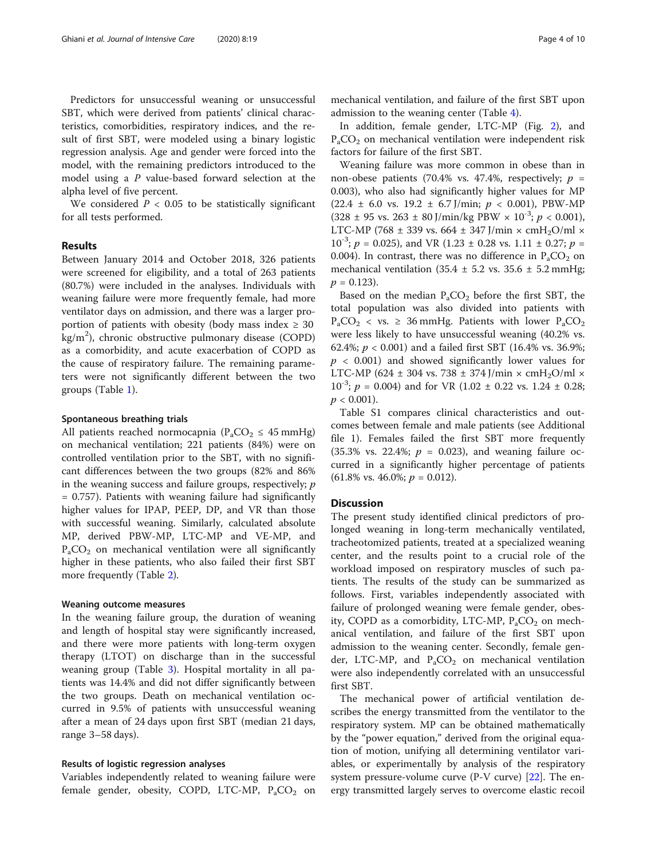Predictors for unsuccessful weaning or unsuccessful SBT, which were derived from patients' clinical characteristics, comorbidities, respiratory indices, and the result of first SBT, were modeled using a binary logistic regression analysis. Age and gender were forced into the model, with the remaining predictors introduced to the model using a P value-based forward selection at the alpha level of five percent.

We considered  $P < 0.05$  to be statistically significant for all tests performed.

#### Results

Between January 2014 and October 2018, 326 patients were screened for eligibility, and a total of 263 patients (80.7%) were included in the analyses. Individuals with weaning failure were more frequently female, had more ventilator days on admission, and there was a larger proportion of patients with obesity (body mass index  $\geq 30$ kg/m<sup>2</sup>), chronic obstructive pulmonary disease (COPD) as a comorbidity, and acute exacerbation of COPD as the cause of respiratory failure. The remaining parameters were not significantly different between the two groups (Table [1](#page-4-0)).

#### Spontaneous breathing trials

All patients reached normocapnia ( $P_aCO_2 \leq 45$  mmHg) on mechanical ventilation; 221 patients (84%) were on controlled ventilation prior to the SBT, with no significant differences between the two groups (82% and 86% in the weaning success and failure groups, respectively;  $p$ = 0.757). Patients with weaning failure had significantly higher values for IPAP, PEEP, DP, and VR than those with successful weaning. Similarly, calculated absolute MP, derived PBW-MP, LTC-MP and VE-MP, and  $P_{a}CO_{2}$  on mechanical ventilation were all significantly higher in these patients, who also failed their first SBT more frequently (Table [2](#page-5-0)).

# Weaning outcome measures

In the weaning failure group, the duration of weaning and length of hospital stay were significantly increased, and there were more patients with long-term oxygen therapy (LTOT) on discharge than in the successful weaning group (Table [3\)](#page-6-0). Hospital mortality in all patients was 14.4% and did not differ significantly between the two groups. Death on mechanical ventilation occurred in 9.5% of patients with unsuccessful weaning after a mean of 24 days upon first SBT (median 21 days, range 3–58 days).

#### Results of logistic regression analyses

Variables independently related to weaning failure were female gender, obesity, COPD, LTC-MP,  $P_aCO_2$  on

mechanical ventilation, and failure of the first SBT upon admission to the weaning center (Table [4\)](#page-7-0).

In addition, female gender, LTC-MP (Fig. [2\)](#page-7-0), and  $P_{a}CO_{2}$  on mechanical ventilation were independent risk factors for failure of the first SBT.

Weaning failure was more common in obese than in non-obese patients (70.4% vs. 47.4%, respectively;  $p =$ 0.003), who also had significantly higher values for MP  $(22.4 \pm 6.0 \text{ vs. } 19.2 \pm 6.7 \text{ J/min}; p < 0.001)$ , PBW-MP  $(328 \pm 95 \text{ vs. } 263 \pm 80 \text{ J/min/kg PBW} \times 10^{-3}; p < 0.001)$ , LTC-MP (768 ± 339 vs. 664 ± 347 J/min  $\times$  cmH<sub>2</sub>O/ml  $\times$  $10^{-3}$ ;  $p = 0.025$ ), and VR (1.23 ± 0.28 vs. 1.11 ± 0.27;  $p =$ 0.004). In contrast, there was no difference in  $P_aCO_2$  on mechanical ventilation (35.4  $\pm$  5.2 vs. 35.6  $\pm$  5.2 mmHg;  $p = 0.123$ .

Based on the median  $P_aCO_2$  before the first SBT, the total population was also divided into patients with  $P_aCO_2 \leq vs. \geq 36$  mmHg. Patients with lower  $P_aCO_2$ were less likely to have unsuccessful weaning (40.2% vs. 62.4%;  $p < 0.001$ ) and a failed first SBT (16.4% vs. 36.9%;  $p \lt 0.001$  and showed significantly lower values for LTC-MP (624 ± 304 vs. 738 ± 374 J/min  $\times$  cmH<sub>2</sub>O/ml  $\times$  $10^{-3}$ ;  $p = 0.004$ ) and for VR (1.02  $\pm$  0.22 vs. 1.24  $\pm$  0.28;  $p < 0.001$ ).

Table S1 compares clinical characteristics and outcomes between female and male patients (see Additional file 1). Females failed the first SBT more frequently  $(35.3\% \text{ vs. } 22.4\%; p = 0.023)$ , and weaning failure occurred in a significantly higher percentage of patients  $(61.8\% \text{ vs. } 46.0\%; p = 0.012).$ 

# **Discussion**

The present study identified clinical predictors of prolonged weaning in long-term mechanically ventilated, tracheotomized patients, treated at a specialized weaning center, and the results point to a crucial role of the workload imposed on respiratory muscles of such patients. The results of the study can be summarized as follows. First, variables independently associated with failure of prolonged weaning were female gender, obesity, COPD as a comorbidity, LTC-MP,  $P_aCO_2$  on mechanical ventilation, and failure of the first SBT upon admission to the weaning center. Secondly, female gender, LTC-MP, and  $P_aCO_2$  on mechanical ventilation were also independently correlated with an unsuccessful first SBT.

The mechanical power of artificial ventilation describes the energy transmitted from the ventilator to the respiratory system. MP can be obtained mathematically by the "power equation," derived from the original equation of motion, unifying all determining ventilator variables, or experimentally by analysis of the respiratory system pressure-volume curve (P-V curve) [\[22\]](#page-9-0). The energy transmitted largely serves to overcome elastic recoil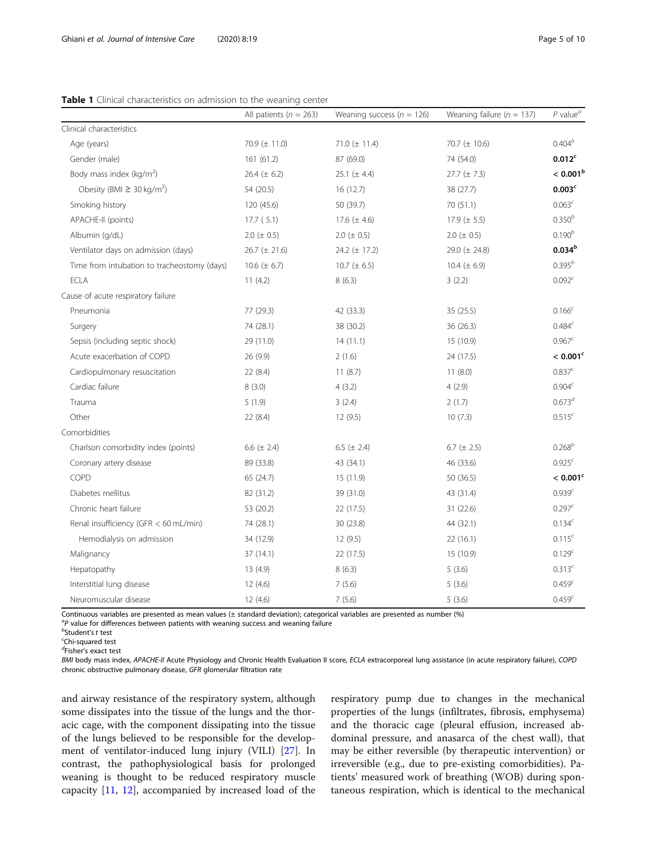<span id="page-4-0"></span>

|  | <b>Table 1</b> Clinical characteristics on admission to the weaning center |  |  |  |
|--|----------------------------------------------------------------------------|--|--|--|
|  |                                                                            |  |  |  |

|                                             | All patients ( $n = 263$ ) | Weaning success ( $n = 126$ ) | Weaning failure ( $n = 137$ ) | $P$ value <sup><math>a</math></sup> |
|---------------------------------------------|----------------------------|-------------------------------|-------------------------------|-------------------------------------|
| Clinical characteristics                    |                            |                               |                               |                                     |
| Age (years)                                 | 70.9 $(\pm 11.0)$          | 71.0 $(\pm 11.4)$             | 70.7 (± 10.6)                 | $0.404^{b}$                         |
| Gender (male)                               | 161 (61.2)                 | 87 (69.0)                     | 74 (54.0)                     | 0.012 <sup>c</sup>                  |
| Body mass index (kg/m <sup>2</sup> )        | 26.4 $(\pm 6.2)$           | 25.1 $(\pm 4.4)$              | $27.7 (\pm 7.3)$              | $< 0.001^b$                         |
| Obesity (BMI $\geq$ 30 kg/m <sup>2</sup> )  | 54 (20.5)                  | 16 (12.7)                     | 38 (27.7)                     | $0.003^c$                           |
| Smoking history                             | 120 (45.6)                 | 50 (39.7)                     | 70 (51.1)                     | $0.063^c$                           |
| APACHE-II (points)                          | 17.7(5.1)                  | 17.6 $(\pm 4.6)$              | 17.9 $(\pm 5.5)$              | $0.350^{b}$                         |
| Albumin (q/dL)                              | $2.0 (\pm 0.5)$            | $2.0 (\pm 0.5)$               | $2.0 (\pm 0.5)$               | $0.190^{b}$                         |
| Ventilator days on admission (days)         | $26.7 (\pm 21.6)$          | 24.2 (± 17.2)                 | 29.0 (± 24.8)                 | $0.034^{b}$                         |
| Time from intubation to tracheostomy (days) | 10.6 ( $\pm$ 6.7)          | 10.7 ( $\pm$ 6.5)             | 10.4 $(\pm 6.9)$              | $0.395^{b}$                         |
| <b>ECLA</b>                                 | 11(4.2)                    | 8(6.3)                        | 3(2.2)                        | $0.092^{c}$                         |
| Cause of acute respiratory failure          |                            |                               |                               |                                     |
| Pneumonia                                   | 77 (29.3)                  | 42 (33.3)                     | 35 (25.5)                     | $0.166^{c}$                         |
| Surgery                                     | 74 (28.1)                  | 38 (30.2)                     | 36 (26.3)                     | 0.484 <sup>c</sup>                  |
| Sepsis (including septic shock)             | 29 (11.0)                  | 14(11.1)                      | 15 (10.9)                     | $0.967^{c}$                         |
| Acute exacerbation of COPD                  | 26 (9.9)                   | 2(1.6)                        | 24 (17.5)                     | < 0.001 <sup>c</sup>                |
| Cardiopulmonary resuscitation               | 22 (8.4)                   | 11(8.7)                       | 11(8.0)                       | $0.837^c$                           |
| Cardiac failure                             | 8(3.0)                     | 4(3.2)                        | 4(2.9)                        | 0.904 <sup>c</sup>                  |
| Trauma                                      | 5(1.9)                     | 3(2.4)                        | 2(1.7)                        | $0.673^{d}$                         |
| Other                                       | 22 (8.4)                   | 12(9.5)                       | 10(7.3)                       | $0.515^{c}$                         |
| Comorbidities                               |                            |                               |                               |                                     |
| Charlson comorbidity index (points)         | 6.6 $(\pm 2.4)$            | 6.5 ( $\pm$ 2.4)              | 6.7 ( $\pm$ 2.5)              | $0.268^{b}$                         |
| Coronary artery disease                     | 89 (33.8)                  | 43 (34.1)                     | 46 (33.6)                     | 0.925 <sup>c</sup>                  |
| COPD                                        | 65 (24.7)                  | 15 (11.9)                     | 50 (36.5)                     | $< 0.001$ <sup>c</sup>              |
| Diabetes mellitus                           | 82 (31.2)                  | 39 (31.0)                     | 43 (31.4)                     | 0.939 <sup>c</sup>                  |
| Chronic heart failure                       | 53 (20.2)                  | 22 (17.5)                     | 31 (22.6)                     | 0.297 <sup>c</sup>                  |
| Renal insufficiency (GFR < 60 mL/min)       | 74 (28.1)                  | 30 (23.8)                     | 44 (32.1)                     | $0.134^{c}$                         |
| Hemodialysis on admission                   | 34 (12.9)                  | 12 (9.5)                      | 22 (16.1)                     | $0.115^{c}$                         |
| Malignancy                                  | 37(14.1)                   | 22(17.5)                      | 15 (10.9)                     | $0.129^{c}$                         |
| Hepatopathy                                 | 13(4.9)                    | 8(6.3)                        | 5(3.6)                        | $0.313^{c}$                         |
| Interstitial lung disease                   | 12(4.6)                    | 7(5.6)                        | 5(3.6)                        | 0.459 <sup>c</sup>                  |
| Neuromuscular disease                       | 12(4.6)                    | 7(5.6)                        | 5(3.6)                        | 0.459 <sup>c</sup>                  |

Continuous variables are presented as mean values (± standard deviation); categorical variables are presented as number (%)

 ${}^{a}P$  value for differences between patients with weaning success and weaning failure

d<br>Fisher's exact test

BMI body mass index, APACHE-II Acute Physiology and Chronic Health Evaluation II score, ECLA extracorporeal lung assistance (in acute respiratory failure), COPD chronic obstructive pulmonary disease, GFR glomerular filtration rate

and airway resistance of the respiratory system, although some dissipates into the tissue of the lungs and the thoracic cage, with the component dissipating into the tissue of the lungs believed to be responsible for the development of ventilator-induced lung injury (VILI) [[27](#page-9-0)]. In contrast, the pathophysiological basis for prolonged weaning is thought to be reduced respiratory muscle capacity [[11](#page-9-0), [12](#page-9-0)], accompanied by increased load of the respiratory pump due to changes in the mechanical properties of the lungs (infiltrates, fibrosis, emphysema) and the thoracic cage (pleural effusion, increased abdominal pressure, and anasarca of the chest wall), that may be either reversible (by therapeutic intervention) or irreversible (e.g., due to pre-existing comorbidities). Patients' measured work of breathing (WOB) during spontaneous respiration, which is identical to the mechanical

 $<sup>b</sup>$ Student's t test</sup>

Chi-squared test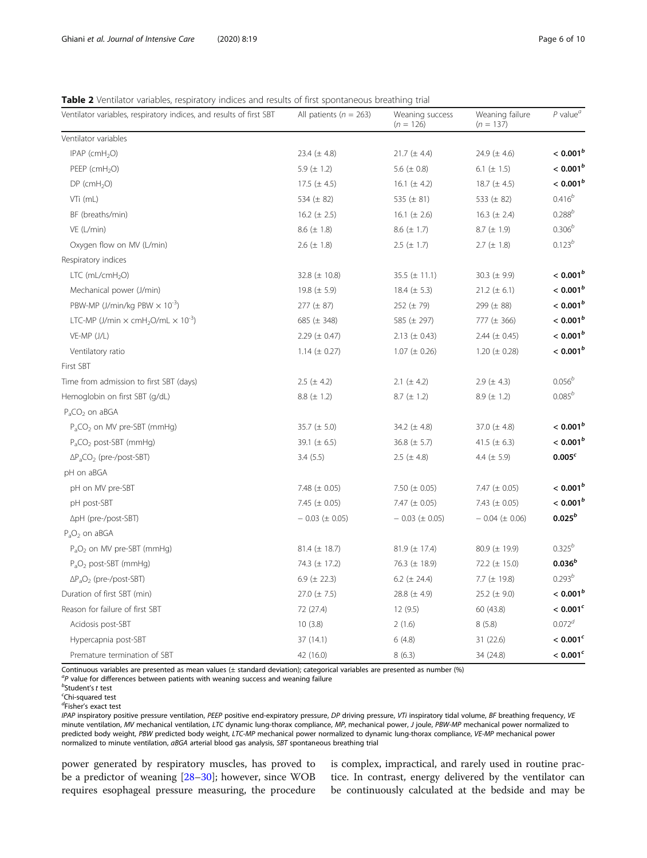# <span id="page-5-0"></span>Table 2 Ventilator variables, respiratory indices and results of first spontaneous breathing trial

| Ventilator variables, respiratory indices, and results of first SBT      | All patients ( $n = 263$ ) | Weaning success<br>$(n = 126)$ | Weaning failure<br>$(n = 137)$ | $P$ value <sup><math>a</math></sup> |
|--------------------------------------------------------------------------|----------------------------|--------------------------------|--------------------------------|-------------------------------------|
| Ventilator variables                                                     |                            |                                |                                |                                     |
| IPAP ( $cmH2O$ )                                                         | 23.4 $(\pm 4.8)$           | 21.7 ( $\pm$ 4.4)              | 24.9 $(\pm 4.6)$               | $< 0.001^b$                         |
| PEEP (cmH <sub>2</sub> O)                                                | 5.9 $(\pm 1.2)$            | 5.6 $(\pm 0.8)$                | 6.1 ( $\pm$ 1.5)               | $< 0.001^b$                         |
| $DP$ (cmH <sub>2</sub> O)                                                | 17.5 $(\pm 4.5)$           | 16.1 $(\pm 4.2)$               | 18.7 $(\pm 4.5)$               | $< 0.001^b$                         |
| VTi (mL)                                                                 | 534 $(\pm 82)$             | 535 ( $\pm$ 81)                | 533 ( $\pm$ 82)                | $0.416^{b}$                         |
| BF (breaths/min)                                                         | 16.2 ( $\pm$ 2.5)          | 16.1 ( $\pm$ 2.6)              | 16.3 ( $\pm$ 2.4)              | $0.288^{b}$                         |
| VE (L/min)                                                               | 8.6 $(\pm 1.8)$            | $8.6 (\pm 1.7)$                | $8.7 (\pm 1.9)$                | $0.306^{b}$                         |
| Oxygen flow on MV (L/min)                                                | 2.6 $(\pm 1.8)$            | $2.5 (\pm 1.7)$                | $2.7 (\pm 1.8)$                | $0.123^{b}$                         |
| Respiratory indices                                                      |                            |                                |                                |                                     |
| LTC $(mL/cmH2O)$                                                         | 32.8 $(\pm 10.8)$          | 35.5 $(\pm 11.1)$              | 30.3 $(\pm 9.9)$               | $< 0.001^b$                         |
| Mechanical power (J/min)                                                 | 19.8 ( $\pm$ 5.9)          | 18.4 $(\pm 5.3)$               | $21.2 (\pm 6.1)$               | $< 0.001^b$                         |
| PBW-MP (J/min/kg PBW $\times$ 10 <sup>-3</sup> )                         | $277 (\pm 87)$             | 252 ( $\pm$ 79)                | 299 (± 88)                     | $< 0.001^b$                         |
| LTC-MP (J/min $\times$ cmH <sub>2</sub> O/mL $\times$ 10 <sup>-3</sup> ) | 685 ( $\pm$ 348)           | 585 ( $\pm$ 297)               | 777 ( $\pm$ 366)               | $< 0.001^b$                         |
| VE-MP (J/L)                                                              | 2.29 $(\pm 0.47)$          | $2.13 \ (\pm 0.43)$            | 2.44 $(\pm 0.45)$              | $< 0.001^b$                         |
| Ventilatory ratio                                                        | 1.14 $(\pm 0.27)$          | $1.07 (\pm 0.26)$              | 1.20 ( $\pm$ 0.28)             | $< 0.001^b$                         |
| First SBT                                                                |                            |                                |                                |                                     |
| Time from admission to first SBT (days)                                  | 2.5 ( $\pm$ 4.2)           | 2.1 ( $\pm$ 4.2)               | 2.9 $(\pm 4.3)$                | $0.056^{b}$                         |
| Hemoglobin on first SBT (g/dL)                                           | 8.8 $(\pm 1.2)$            | $8.7 (\pm 1.2)$                | $8.9 (\pm 1.2)$                | $0.085^{b}$                         |
| $P_aCO_2$ on aBGA                                                        |                            |                                |                                |                                     |
| $P_aCO_2$ on MV pre-SBT (mmHg)                                           | 35.7 $(\pm 5.0)$           | 34.2 $(\pm 4.8)$               | 37.0 $(\pm 4.8)$               | $< 0.001^b$                         |
| $P_aCO_2$ post-SBT (mmHg)                                                | 39.1 ( $\pm$ 6.5)          | 36.8 $(\pm 5.7)$               | 41.5 ( $\pm$ 6.3)              | $< 0.001^b$                         |
| $\Delta P_a CO_2$ (pre-/post-SBT)                                        | 3.4(5.5)                   | 2.5 ( $\pm$ 4.8)               | 4.4 $(\pm 5.9)$                | 0.005 <sup>c</sup>                  |
| pH on aBGA                                                               |                            |                                |                                |                                     |
| pH on MV pre-SBT                                                         | 7.48 $(\pm 0.05)$          | 7.50 $(\pm 0.05)$              | 7.47 $(\pm 0.05)$              | $< 0.001^b$                         |
| pH post-SBT                                                              | 7.45 ( $\pm$ 0.05)         | 7.47 ( $\pm$ 0.05)             | 7.43 $(\pm 0.05)$              | $< 0.001^b$                         |
| ∆pH (pre-/post-SBT)                                                      | $-0.03$ ( $\pm 0.05$ )     | $-0.03$ ( $\pm 0.05$ )         | $-0.04 (\pm 0.06)$             | $0.025^{b}$                         |
| $P_aO_2$ on aBGA                                                         |                            |                                |                                |                                     |
| $P_aO_2$ on MV pre-SBT (mmHg)                                            | $81.4 (\pm 18.7)$          | $81.9 \ (\pm 17.4)$            | 80.9 (± 19.9)                  | $0.325^{b}$                         |
| $P_aO_2$ post-SBT (mmHg)                                                 | 74.3 (± 17.2)              | 76.3 (± 18.9)                  | 72.2 $(\pm 15.0)$              | $0.036^b$                           |
| $\Delta P_aO_2$ (pre-/post-SBT)                                          | 6.9 ( $\pm$ 22.3)          | 6.2 ( $\pm$ 24.4)              | 7.7 $(\pm 19.8)$               | $0.293^{b}$                         |
| Duration of first SBT (min)                                              | 27.0 $(\pm 7.5)$           | 28.8 $(\pm 4.9)$               | 25.2 $(\pm 9.0)$               | $< 0.001^b$                         |
| Reason for failure of first SBT                                          | 72 (27.4)                  | 12(9.5)                        | 60 (43.8)                      | < 0.001 <sup>c</sup>                |
| Acidosis post-SBT                                                        | 10(3.8)                    | 2(1.6)                         | 8(5.8)                         | $0.072^{d}$                         |
| Hypercapnia post-SBT                                                     | 37 (14.1)                  | 6(4.8)                         | 31 (22.6)                      | $< 0.001^c$                         |
| Premature termination of SBT                                             | 42 (16.0)                  | 8(6.3)                         | 34 (24.8)                      | < 0.001 <sup>c</sup>                |

Continuous variables are presented as mean values (± standard deviation); categorical variables are presented as number (%)

 ${}^{a}P$  value for differences between patients with weaning success and weaning failure

 $<sup>b</sup>$ Student's t test</sup>

d Fisher's exact test

IPAP inspiratory positive pressure ventilation, PEEP positive end-expiratory pressure, DP driving pressure, VTi inspiratory tidal volume, BF breathing frequency, VE minute ventilation, MV mechanical ventilation, LTC dynamic lung-thorax compliance, MP, mechanical power, J joule, PBW-MP mechanical power normalized to predicted body weight, PBW predicted body weight, LTC-MP mechanical power normalized to dynamic lung-thorax compliance, VE-MP mechanical power normalized to minute ventilation, aBGA arterial blood gas analysis, SBT spontaneous breathing trial

power generated by respiratory muscles, has proved to be a predictor of weaning [\[28](#page-9-0)–[30\]](#page-9-0); however, since WOB requires esophageal pressure measuring, the procedure

is complex, impractical, and rarely used in routine practice. In contrast, energy delivered by the ventilator can be continuously calculated at the bedside and may be

Chi-squared test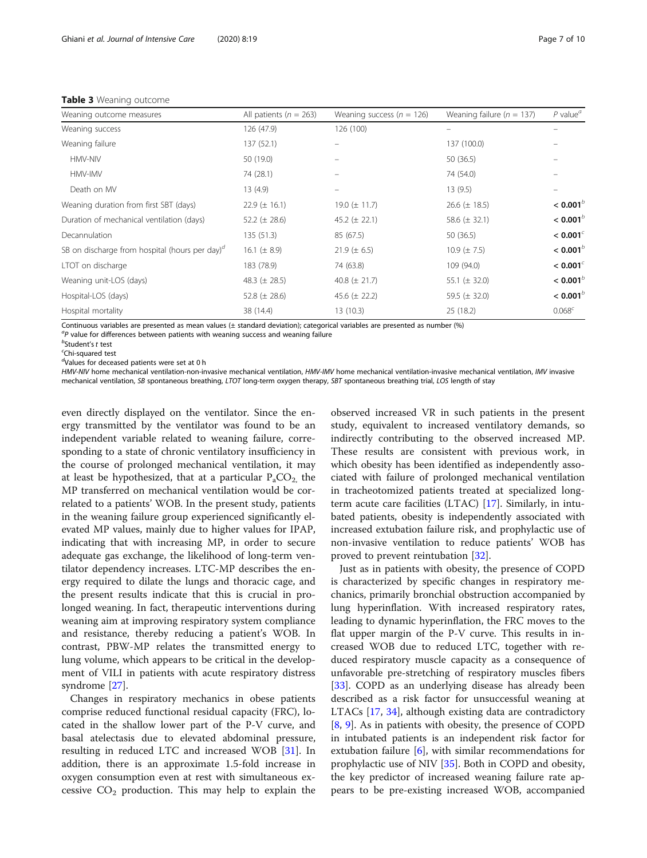# <span id="page-6-0"></span>Table 3 Weaning outcome

| Weaning outcome measures                          | All patients ( $n = 263$ ) | Weaning success ( $n = 126$ ) | Weaning failure ( $n = 137$ ) | $P$ value <sup><math>a</math></sup> |
|---------------------------------------------------|----------------------------|-------------------------------|-------------------------------|-------------------------------------|
| Weaning success                                   | 126 (47.9)                 | 126 (100)                     |                               |                                     |
| Weaning failure                                   | 137 (52.1)                 |                               | 137 (100.0)                   |                                     |
| HMV-NIV                                           | 50 (19.0)                  |                               | 50 (36.5)                     |                                     |
| HMV-IMV                                           | 74 (28.1)                  |                               | 74 (54.0)                     |                                     |
| Death on MV                                       | 13(4.9)                    | $\equiv$                      | 13(9.5)                       |                                     |
| Weaning duration from first SBT (days)            | $22.9 \ (\pm 16.1)$        | 19.0 $(\pm$ 11.7)             | 26.6 $(\pm 18.5)$             | < 0.001 <sup>b</sup>                |
| Duration of mechanical ventilation (days)         | 52.2 ( $\pm$ 28.6)         | 45.2 $(\pm 22.1)$             | 58.6 $(\pm 32.1)$             | $< 0.001^b$                         |
| Decannulation                                     | 135 (51.3)                 | 85 (67.5)                     | 50 (36.5)                     | $< 0.001$ <sup>c</sup>              |
| SB on discharge from hospital (hours per day) $d$ | 16.1 ( $\pm$ 8.9)          | $21.9 (\pm 6.5)$              | 10.9 $(\pm 7.5)$              | < 0.001 <sup>b</sup>                |
| LTOT on discharge                                 | 183 (78.9)                 | 74 (63.8)                     | 109 (94.0)                    | $< 0.001^c$                         |
| Weaning unit-LOS (days)                           | 48.3 ( $\pm$ 28.5)         | 40.8 ( $\pm$ 21.7)            | 55.1 ( $\pm$ 32.0)            | < 0.001 <sup>b</sup>                |
| Hospital-LOS (days)                               | 52.8 ( $\pm$ 28.6)         | 45.6 $(\pm 22.2)$             | 59.5 $(\pm 32.0)$             | < 0.001 <sup>b</sup>                |
| Hospital mortality                                | 38 (14.4)                  | 13(10.3)                      | 25(18.2)                      | $0.068^{c}$                         |

Continuous variables are presented as mean values (± standard deviation); categorical variables are presented as number (%)

 ${}^{a}P$  value for differences between patients with weaning success and weaning failure

 $<sup>b</sup>$ Student's t test</sup>

Chi-squared test

d Values for deceased patients were set at 0 h

HMV-NIV home mechanical ventilation-non-invasive mechanical ventilation, HMV-IMV home mechanical ventilation-invasive mechanical ventilation, IMV invasive mechanical ventilation, SB spontaneous breathing, LTOT long-term oxygen therapy, SBT spontaneous breathing trial, LOS length of stay

even directly displayed on the ventilator. Since the energy transmitted by the ventilator was found to be an independent variable related to weaning failure, corresponding to a state of chronic ventilatory insufficiency in the course of prolonged mechanical ventilation, it may at least be hypothesized, that at a particular  $P_aCO_2$ , the MP transferred on mechanical ventilation would be correlated to a patients' WOB. In the present study, patients in the weaning failure group experienced significantly elevated MP values, mainly due to higher values for IPAP, indicating that with increasing MP, in order to secure adequate gas exchange, the likelihood of long-term ventilator dependency increases. LTC-MP describes the energy required to dilate the lungs and thoracic cage, and the present results indicate that this is crucial in prolonged weaning. In fact, therapeutic interventions during weaning aim at improving respiratory system compliance and resistance, thereby reducing a patient's WOB. In contrast, PBW-MP relates the transmitted energy to lung volume, which appears to be critical in the development of VILI in patients with acute respiratory distress syndrome [[27\]](#page-9-0).

Changes in respiratory mechanics in obese patients comprise reduced functional residual capacity (FRC), located in the shallow lower part of the P-V curve, and basal atelectasis due to elevated abdominal pressure, resulting in reduced LTC and increased WOB [\[31](#page-9-0)]. In addition, there is an approximate 1.5-fold increase in oxygen consumption even at rest with simultaneous excessive  $CO<sub>2</sub>$  production. This may help to explain the observed increased VR in such patients in the present study, equivalent to increased ventilatory demands, so indirectly contributing to the observed increased MP. These results are consistent with previous work, in which obesity has been identified as independently associated with failure of prolonged mechanical ventilation in tracheotomized patients treated at specialized longterm acute care facilities (LTAC) [[17](#page-9-0)]. Similarly, in intubated patients, obesity is independently associated with increased extubation failure risk, and prophylactic use of non-invasive ventilation to reduce patients' WOB has proved to prevent reintubation [\[32\]](#page-9-0).

Just as in patients with obesity, the presence of COPD is characterized by specific changes in respiratory mechanics, primarily bronchial obstruction accompanied by lung hyperinflation. With increased respiratory rates, leading to dynamic hyperinflation, the FRC moves to the flat upper margin of the P-V curve. This results in increased WOB due to reduced LTC, together with reduced respiratory muscle capacity as a consequence of unfavorable pre-stretching of respiratory muscles fibers [[33\]](#page-9-0). COPD as an underlying disease has already been described as a risk factor for unsuccessful weaning at LTACs [[17](#page-9-0), [34\]](#page-9-0), although existing data are contradictory [[8,](#page-9-0) [9\]](#page-9-0). As in patients with obesity, the presence of COPD in intubated patients is an independent risk factor for extubation failure  $[6]$  $[6]$ , with similar recommendations for prophylactic use of NIV [[35\]](#page-9-0). Both in COPD and obesity, the key predictor of increased weaning failure rate appears to be pre-existing increased WOB, accompanied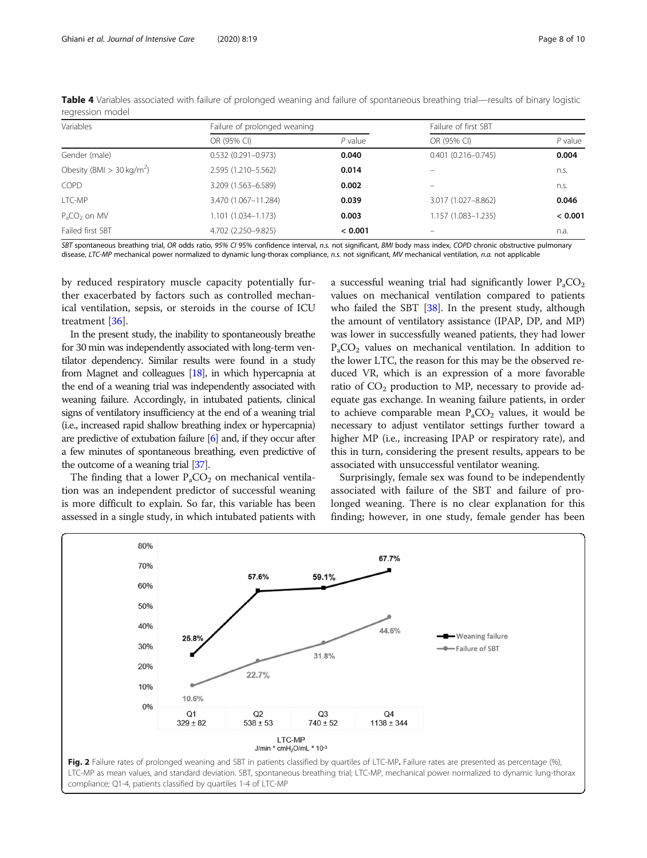| Variables                               | Failure of prolonged weaning |           | Failure of first SBT   |           |  |
|-----------------------------------------|------------------------------|-----------|------------------------|-----------|--|
|                                         | OR (95% CI)                  | $P$ value | OR (95% CI)            | $P$ value |  |
| Gender (male)                           | $0.532(0.291 - 0.973)$       | 0.040     | $0.401(0.216 - 0.745)$ | 0.004     |  |
| Obesity (BMI $>$ 30 kg/m <sup>2</sup> ) | 2.595 (1.210-5.562)          | 0.014     |                        | n.s.      |  |
| <b>COPD</b>                             | 3.209 (1.563-6.589)          | 0.002     |                        | n.s.      |  |
| LTC-MP                                  | 3.470 (1.067-11.284)         | 0.039     | 3.017 (1.027-8.862)    | 0.046     |  |
| $PaCO2$ on MV                           | 1.101 (1.034-1.173)          | 0.003     | 1.157 (1.083-1.235)    | < 0.001   |  |
| Failed first SBT                        | 4.702 (2.250-9.825)          | < 0.001   |                        | n.a.      |  |

<span id="page-7-0"></span>Table 4 Variables associated with failure of prolonged weaning and failure of spontaneous breathing trial—results of binary logistic regression model

SBT spontaneous breathing trial, OR odds ratio, 95% CI 95% confidence interval, n.s. not significant, BMI body mass index, COPD chronic obstructive pulmonary disease, LTC-MP mechanical power normalized to dynamic lung-thorax compliance, n.s. not significant, MV mechanical ventilation, n.a. not applicable

by reduced respiratory muscle capacity potentially further exacerbated by factors such as controlled mechanical ventilation, sepsis, or steroids in the course of ICU treatment [[36\]](#page-9-0).

In the present study, the inability to spontaneously breathe for 30 min was independently associated with long-term ventilator dependency. Similar results were found in a study from Magnet and colleagues [[18\]](#page-9-0), in which hypercapnia at the end of a weaning trial was independently associated with weaning failure. Accordingly, in intubated patients, clinical signs of ventilatory insufficiency at the end of a weaning trial (i.e., increased rapid shallow breathing index or hypercapnia) are predictive of extubation failure [[6](#page-9-0)] and, if they occur after a few minutes of spontaneous breathing, even predictive of the outcome of a weaning trial [\[37\]](#page-9-0).

The finding that a lower  $P_aCO_2$  on mechanical ventilation was an independent predictor of successful weaning is more difficult to explain. So far, this variable has been assessed in a single study, in which intubated patients with a successful weaning trial had significantly lower  $P_aCO_2$ values on mechanical ventilation compared to patients who failed the SBT [\[38\]](#page-9-0). In the present study, although the amount of ventilatory assistance (IPAP, DP, and MP) was lower in successfully weaned patients, they had lower  $P_{a}CO_{2}$  values on mechanical ventilation. In addition to the lower LTC, the reason for this may be the observed reduced VR, which is an expression of a more favorable ratio of  $CO<sub>2</sub>$  production to MP, necessary to provide adequate gas exchange. In weaning failure patients, in order to achieve comparable mean  $P_aCO_2$  values, it would be necessary to adjust ventilator settings further toward a higher MP (i.e., increasing IPAP or respiratory rate), and this in turn, considering the present results, appears to be associated with unsuccessful ventilator weaning.

Surprisingly, female sex was found to be independently associated with failure of the SBT and failure of prolonged weaning. There is no clear explanation for this finding; however, in one study, female gender has been

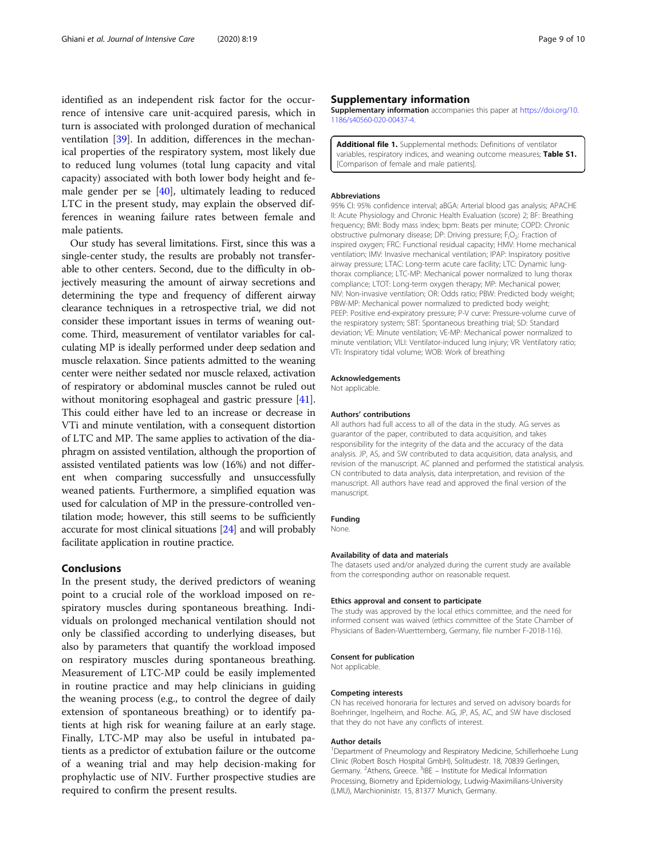<span id="page-8-0"></span>identified as an independent risk factor for the occurrence of intensive care unit-acquired paresis, which in turn is associated with prolonged duration of mechanical ventilation [\[39\]](#page-9-0). In addition, differences in the mechanical properties of the respiratory system, most likely due to reduced lung volumes (total lung capacity and vital capacity) associated with both lower body height and female gender per se [[40](#page-9-0)], ultimately leading to reduced LTC in the present study, may explain the observed differences in weaning failure rates between female and male patients.

Our study has several limitations. First, since this was a single-center study, the results are probably not transferable to other centers. Second, due to the difficulty in objectively measuring the amount of airway secretions and determining the type and frequency of different airway clearance techniques in a retrospective trial, we did not consider these important issues in terms of weaning outcome. Third, measurement of ventilator variables for calculating MP is ideally performed under deep sedation and muscle relaxation. Since patients admitted to the weaning center were neither sedated nor muscle relaxed, activation of respiratory or abdominal muscles cannot be ruled out without monitoring esophageal and gastric pressure [[41](#page-9-0)]. This could either have led to an increase or decrease in VTi and minute ventilation, with a consequent distortion of LTC and MP. The same applies to activation of the diaphragm on assisted ventilation, although the proportion of assisted ventilated patients was low (16%) and not different when comparing successfully and unsuccessfully weaned patients. Furthermore, a simplified equation was used for calculation of MP in the pressure-controlled ventilation mode; however, this still seems to be sufficiently accurate for most clinical situations [\[24\]](#page-9-0) and will probably facilitate application in routine practice.

## Conclusions

In the present study, the derived predictors of weaning point to a crucial role of the workload imposed on respiratory muscles during spontaneous breathing. Individuals on prolonged mechanical ventilation should not only be classified according to underlying diseases, but also by parameters that quantify the workload imposed on respiratory muscles during spontaneous breathing. Measurement of LTC-MP could be easily implemented in routine practice and may help clinicians in guiding the weaning process (e.g., to control the degree of daily extension of spontaneous breathing) or to identify patients at high risk for weaning failure at an early stage. Finally, LTC-MP may also be useful in intubated patients as a predictor of extubation failure or the outcome of a weaning trial and may help decision-making for prophylactic use of NIV. Further prospective studies are required to confirm the present results.

## Supplementary information

Supplementary information accompanies this paper at [https://doi.org/10.](https://doi.org/10.1186/s40560-020-00437-4) [1186/s40560-020-00437-4](https://doi.org/10.1186/s40560-020-00437-4).

Additional file 1. Supplemental methods: Definitions of ventilator variables, respiratory indices, and weaning outcome measures; Table S1. [Comparison of female and male patients].

#### **Abbreviations**

95% CI: 95% confidence interval; aBGA: Arterial blood gas analysis; APACHE II: Acute Physiology and Chronic Health Evaluation (score) 2; BF: Breathing frequency; BMI: Body mass index; bpm: Beats per minute; COPD: Chronic obstructive pulmonary disease; DP: Driving pressure; F<sub>i</sub>O<sub>2</sub>: Fraction of inspired oxygen; FRC: Functional residual capacity; HMV: Home mechanical ventilation; IMV: Invasive mechanical ventilation; IPAP: Inspiratory positive airway pressure; LTAC: Long-term acute care facility; LTC: Dynamic lungthorax compliance; LTC-MP: Mechanical power normalized to lung thorax compliance; LTOT: Long-term oxygen therapy; MP: Mechanical power; NIV: Non-invasive ventilation; OR: Odds ratio; PBW: Predicted body weight; PBW-MP: Mechanical power normalized to predicted body weight; PEEP: Positive end-expiratory pressure; P-V curve: Pressure-volume curve of the respiratory system; SBT: Spontaneous breathing trial; SD: Standard deviation; VE: Minute ventilation; VE-MP: Mechanical power normalized to minute ventilation; VILI: Ventilator-induced lung injury; VR: Ventilatory ratio; VTi: Inspiratory tidal volume; WOB: Work of breathing

#### Acknowledgements

Not applicable.

#### Authors' contributions

All authors had full access to all of the data in the study. AG serves as guarantor of the paper, contributed to data acquisition, and takes responsibility for the integrity of the data and the accuracy of the data analysis. JP, AS, and SW contributed to data acquisition, data analysis, and revision of the manuscript. AC planned and performed the statistical analysis. CN contributed to data analysis, data interpretation, and revision of the manuscript. All authors have read and approved the final version of the manuscript.

#### Funding

None.

## Availability of data and materials

The datasets used and/or analyzed during the current study are available from the corresponding author on reasonable request.

#### Ethics approval and consent to participate

The study was approved by the local ethics committee, and the need for informed consent was waived (ethics committee of the State Chamber of Physicians of Baden-Wuerttemberg, Germany, file number F-2018-116).

#### Consent for publication

Not applicable.

#### Competing interests

CN has received honoraria for lectures and served on advisory boards for Boehringer, Ingelheim, and Roche. AG, JP, AS, AC, and SW have disclosed that they do not have any conflicts of interest.

#### Author details

<sup>1</sup>Department of Pneumology and Respiratory Medicine, Schillerhoehe Lung Clinic (Robert Bosch Hospital GmbH), Solitudestr. 18, 70839 Gerlingen, Germany. <sup>2</sup> Athens, Greece. <sup>3</sup>IBE - Institute for Medical Information Processing, Biometry and Epidemiology, Ludwig-Maximilians-University (LMU), Marchioninistr. 15, 81377 Munich, Germany.